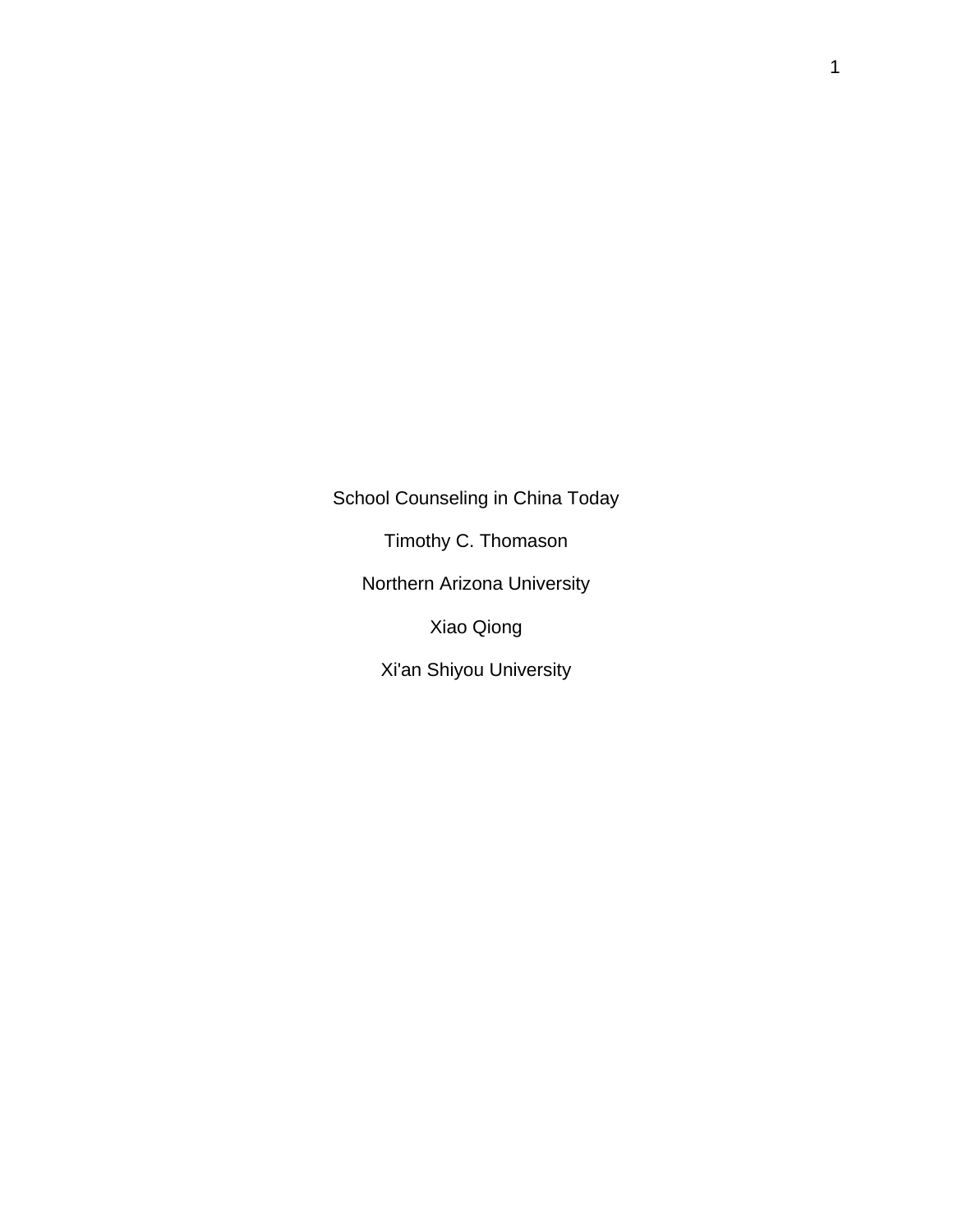School Counseling in China Today

Timothy C. Thomason

Northern Arizona University

Xiao Qiong

Xi'an Shiyou University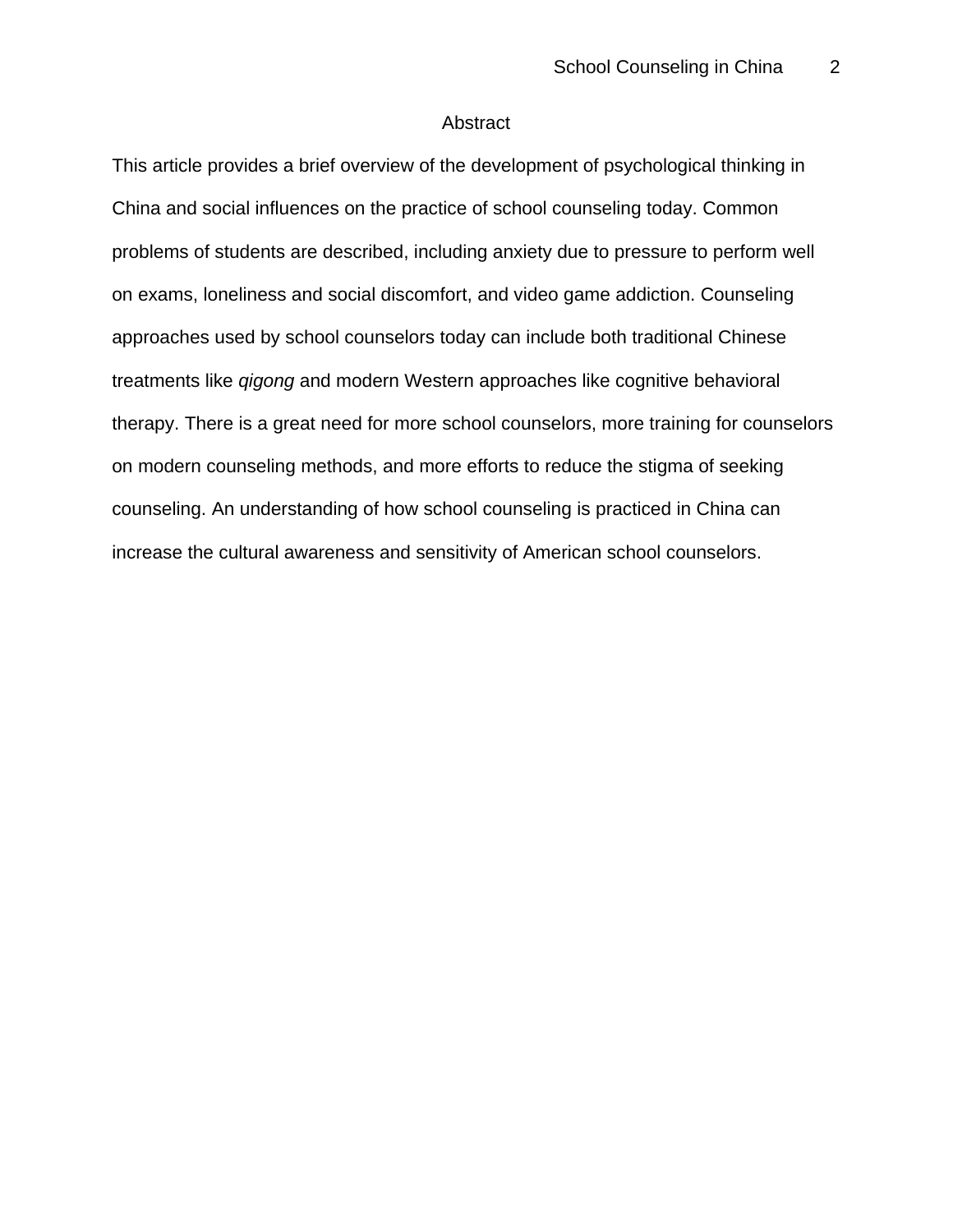## Abstract

This article provides a brief overview of the development of psychological thinking in China and social influences on the practice of school counseling today. Common problems of students are described, including anxiety due to pressure to perform well on exams, loneliness and social discomfort, and video game addiction. Counseling approaches used by school counselors today can include both traditional Chinese treatments like *qigong* and modern Western approaches like cognitive behavioral therapy. There is a great need for more school counselors, more training for counselors on modern counseling methods, and more efforts to reduce the stigma of seeking counseling. An understanding of how school counseling is practiced in China can increase the cultural awareness and sensitivity of American school counselors.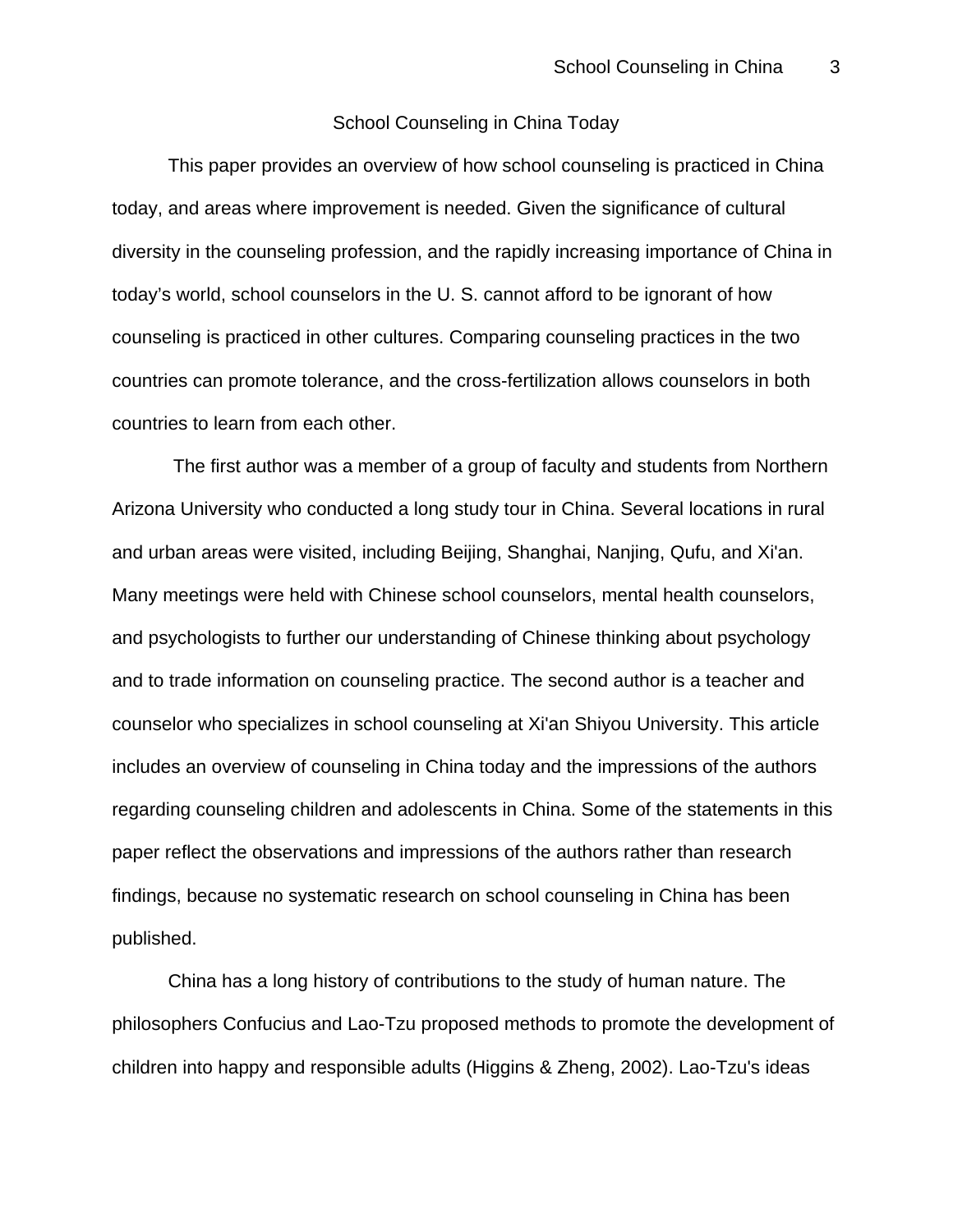## School Counseling in China Today

This paper provides an overview of how school counseling is practiced in China today, and areas where improvement is needed. Given the significance of cultural diversity in the counseling profession, and the rapidly increasing importance of China in today's world, school counselors in the U. S. cannot afford to be ignorant of how counseling is practiced in other cultures. Comparing counseling practices in the two countries can promote tolerance, and the cross-fertilization allows counselors in both countries to learn from each other.

 The first author was a member of a group of faculty and students from Northern Arizona University who conducted a long study tour in China. Several locations in rural and urban areas were visited, including Beijing, Shanghai, Nanjing, Qufu, and Xi'an. Many meetings were held with Chinese school counselors, mental health counselors, and psychologists to further our understanding of Chinese thinking about psychology and to trade information on counseling practice. The second author is a teacher and counselor who specializes in school counseling at Xi'an Shiyou University. This article includes an overview of counseling in China today and the impressions of the authors regarding counseling children and adolescents in China. Some of the statements in this paper reflect the observations and impressions of the authors rather than research findings, because no systematic research on school counseling in China has been published.

China has a long history of contributions to the study of human nature. The philosophers Confucius and Lao-Tzu proposed methods to promote the development of children into happy and responsible adults (Higgins & Zheng, 2002). Lao-Tzu's ideas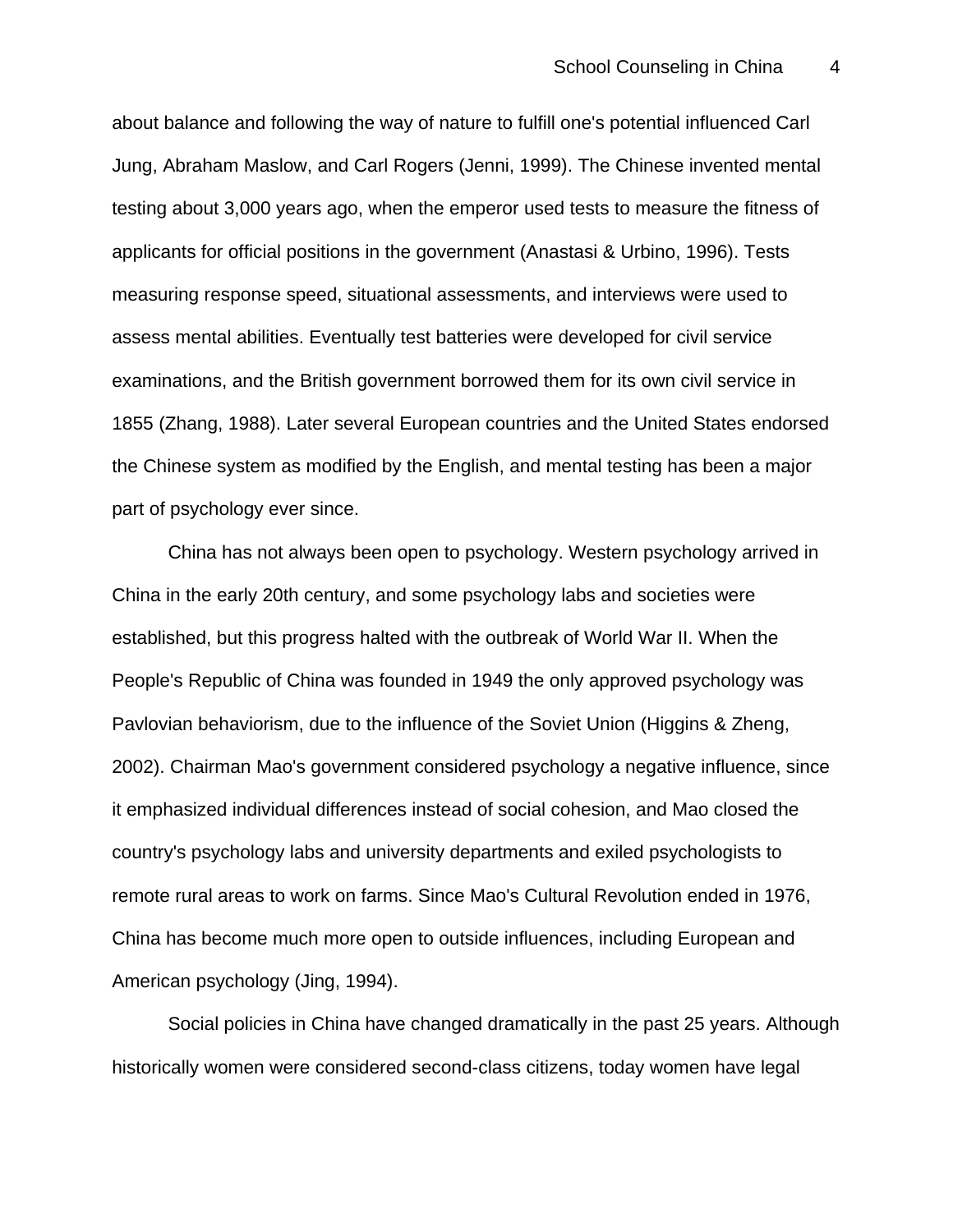about balance and following the way of nature to fulfill one's potential influenced Carl Jung, Abraham Maslow, and Carl Rogers (Jenni, 1999). The Chinese invented mental testing about 3,000 years ago, when the emperor used tests to measure the fitness of applicants for official positions in the government (Anastasi & Urbino, 1996). Tests measuring response speed, situational assessments, and interviews were used to assess mental abilities. Eventually test batteries were developed for civil service examinations, and the British government borrowed them for its own civil service in 1855 (Zhang, 1988). Later several European countries and the United States endorsed the Chinese system as modified by the English, and mental testing has been a major part of psychology ever since.

China has not always been open to psychology. Western psychology arrived in China in the early 20th century, and some psychology labs and societies were established, but this progress halted with the outbreak of World War II. When the People's Republic of China was founded in 1949 the only approved psychology was Pavlovian behaviorism, due to the influence of the Soviet Union (Higgins & Zheng, 2002). Chairman Mao's government considered psychology a negative influence, since it emphasized individual differences instead of social cohesion, and Mao closed the country's psychology labs and university departments and exiled psychologists to remote rural areas to work on farms. Since Mao's Cultural Revolution ended in 1976, China has become much more open to outside influences, including European and American psychology (Jing, 1994).

Social policies in China have changed dramatically in the past 25 years. Although historically women were considered second-class citizens, today women have legal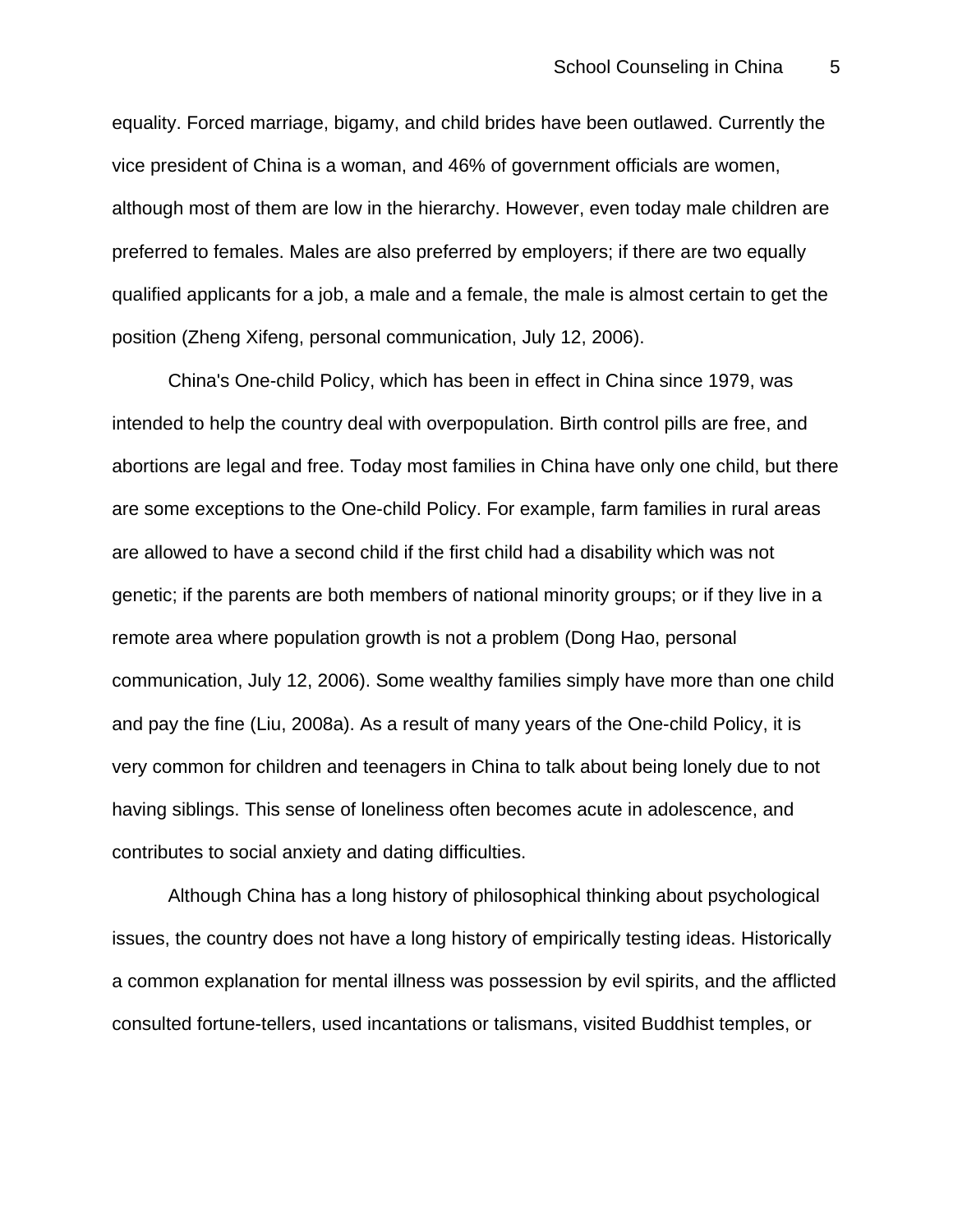equality. Forced marriage, bigamy, and child brides have been outlawed. Currently the vice president of China is a woman, and 46% of government officials are women, although most of them are low in the hierarchy. However, even today male children are preferred to females. Males are also preferred by employers; if there are two equally qualified applicants for a job, a male and a female, the male is almost certain to get the position (Zheng Xifeng, personal communication, July 12, 2006).

China's One-child Policy, which has been in effect in China since 1979, was intended to help the country deal with overpopulation. Birth control pills are free, and abortions are legal and free. Today most families in China have only one child, but there are some exceptions to the One-child Policy. For example, farm families in rural areas are allowed to have a second child if the first child had a disability which was not genetic; if the parents are both members of national minority groups; or if they live in a remote area where population growth is not a problem (Dong Hao, personal communication, July 12, 2006). Some wealthy families simply have more than one child and pay the fine (Liu, 2008a). As a result of many years of the One-child Policy, it is very common for children and teenagers in China to talk about being lonely due to not having siblings. This sense of loneliness often becomes acute in adolescence, and contributes to social anxiety and dating difficulties.

Although China has a long history of philosophical thinking about psychological issues, the country does not have a long history of empirically testing ideas. Historically a common explanation for mental illness was possession by evil spirits, and the afflicted consulted fortune-tellers, used incantations or talismans, visited Buddhist temples, or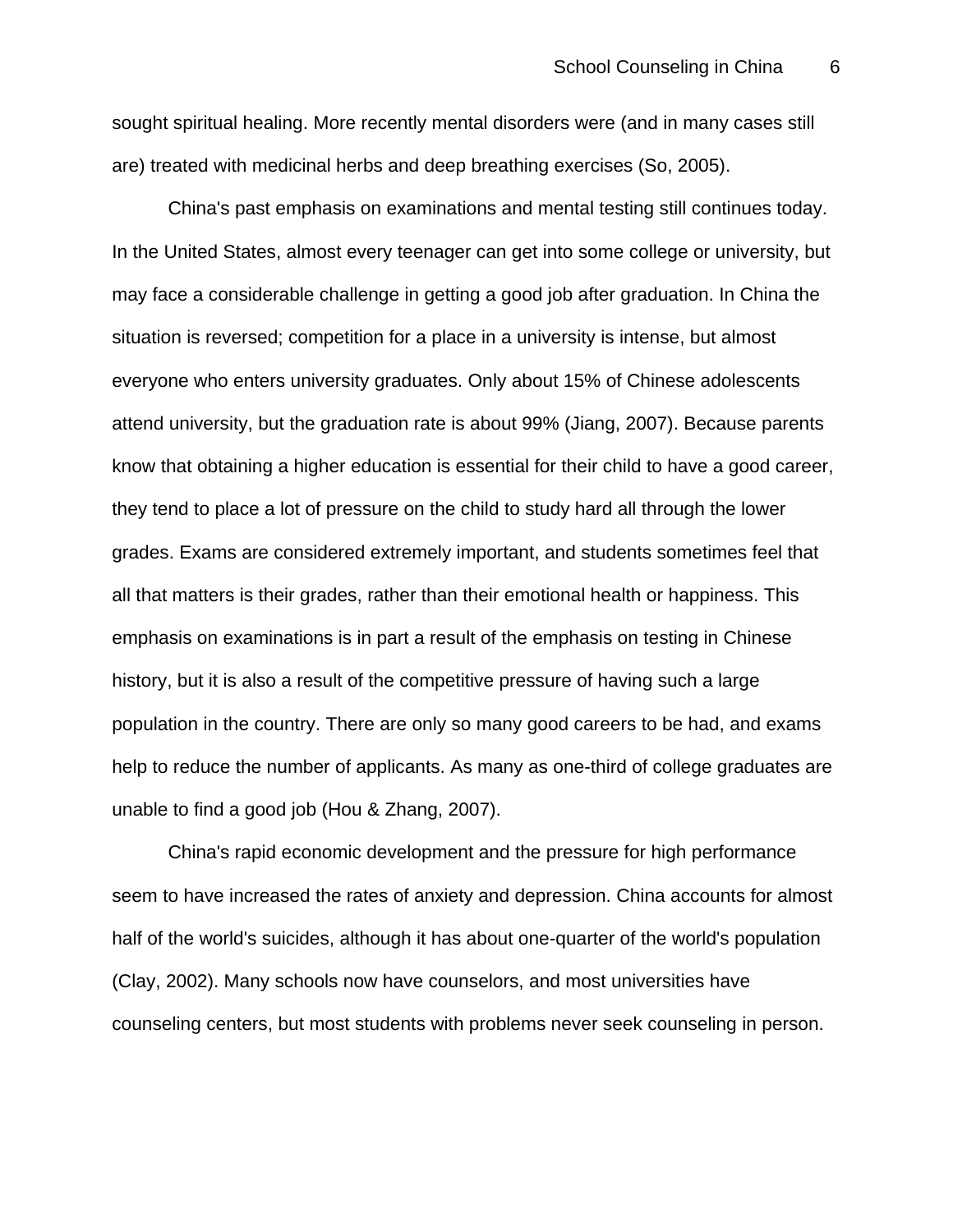sought spiritual healing. More recently mental disorders were (and in many cases still are) treated with medicinal herbs and deep breathing exercises (So, 2005).

China's past emphasis on examinations and mental testing still continues today. In the United States, almost every teenager can get into some college or university, but may face a considerable challenge in getting a good job after graduation. In China the situation is reversed; competition for a place in a university is intense, but almost everyone who enters university graduates. Only about 15% of Chinese adolescents attend university, but the graduation rate is about 99% (Jiang, 2007). Because parents know that obtaining a higher education is essential for their child to have a good career, they tend to place a lot of pressure on the child to study hard all through the lower grades. Exams are considered extremely important, and students sometimes feel that all that matters is their grades, rather than their emotional health or happiness. This emphasis on examinations is in part a result of the emphasis on testing in Chinese history, but it is also a result of the competitive pressure of having such a large population in the country. There are only so many good careers to be had, and exams help to reduce the number of applicants. As many as one-third of college graduates are unable to find a good job (Hou & Zhang, 2007).

China's rapid economic development and the pressure for high performance seem to have increased the rates of anxiety and depression. China accounts for almost half of the world's suicides, although it has about one-quarter of the world's population (Clay, 2002). Many schools now have counselors, and most universities have counseling centers, but most students with problems never seek counseling in person.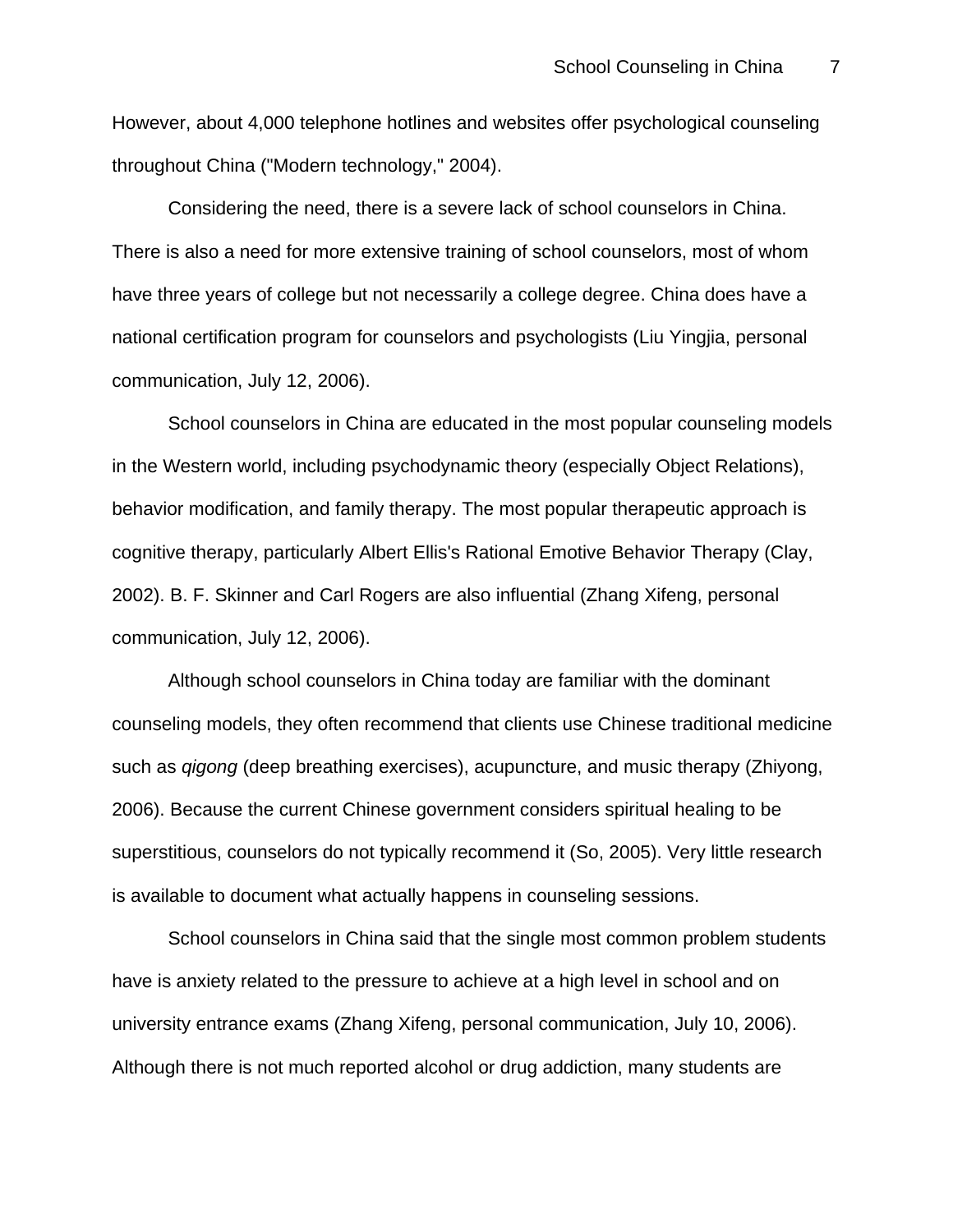However, about 4,000 telephone hotlines and websites offer psychological counseling throughout China ("Modern technology," 2004).

Considering the need, there is a severe lack of school counselors in China. There is also a need for more extensive training of school counselors, most of whom have three years of college but not necessarily a college degree. China does have a national certification program for counselors and psychologists (Liu Yingjia, personal communication, July 12, 2006).

School counselors in China are educated in the most popular counseling models in the Western world, including psychodynamic theory (especially Object Relations), behavior modification, and family therapy. The most popular therapeutic approach is cognitive therapy, particularly Albert Ellis's Rational Emotive Behavior Therapy (Clay, 2002). B. F. Skinner and Carl Rogers are also influential (Zhang Xifeng, personal communication, July 12, 2006).

Although school counselors in China today are familiar with the dominant counseling models, they often recommend that clients use Chinese traditional medicine such as *qigong* (deep breathing exercises), acupuncture, and music therapy (Zhiyong, 2006). Because the current Chinese government considers spiritual healing to be superstitious, counselors do not typically recommend it (So, 2005). Very little research is available to document what actually happens in counseling sessions.

School counselors in China said that the single most common problem students have is anxiety related to the pressure to achieve at a high level in school and on university entrance exams (Zhang Xifeng, personal communication, July 10, 2006). Although there is not much reported alcohol or drug addiction, many students are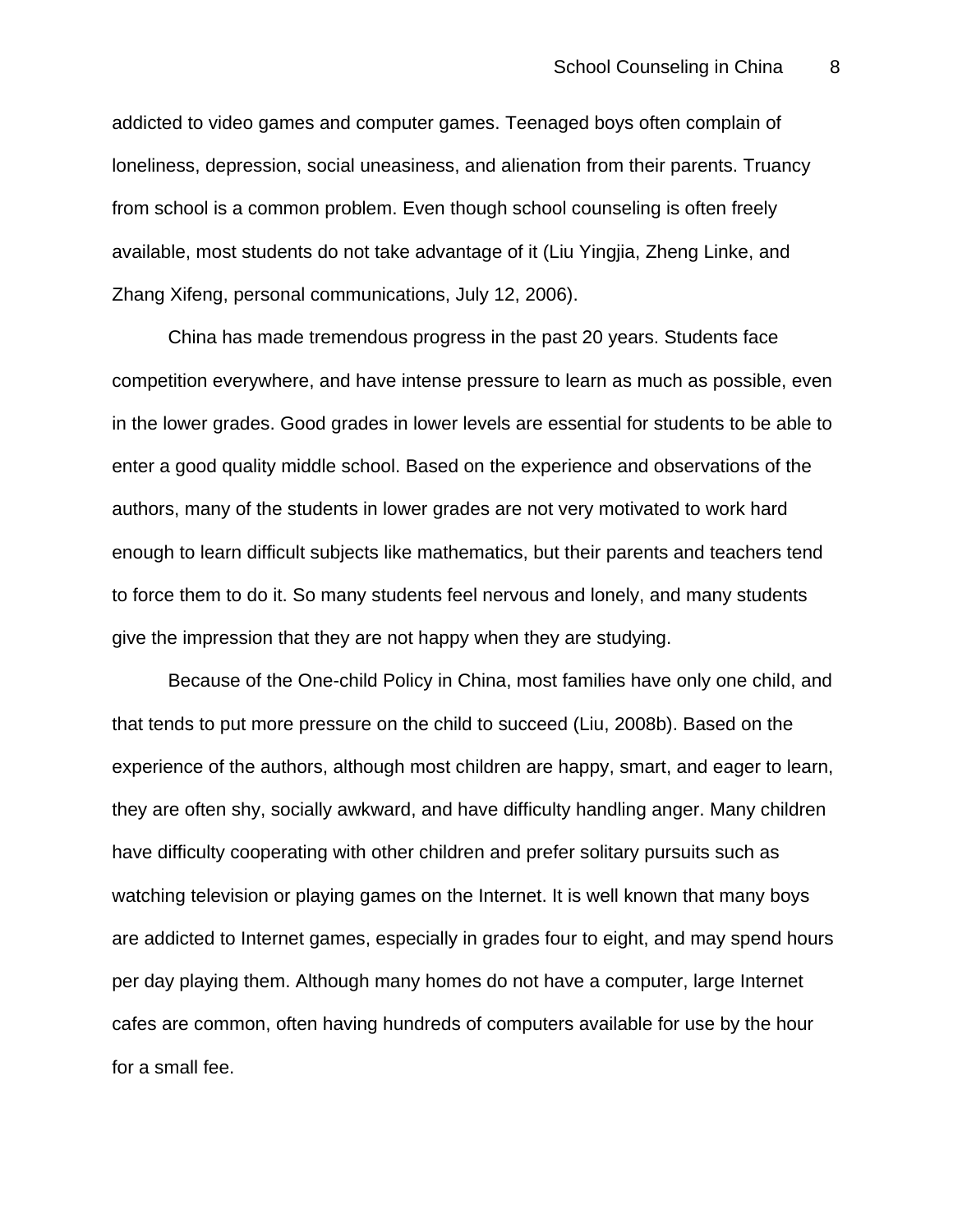addicted to video games and computer games. Teenaged boys often complain of loneliness, depression, social uneasiness, and alienation from their parents. Truancy from school is a common problem. Even though school counseling is often freely available, most students do not take advantage of it (Liu Yingjia, Zheng Linke, and Zhang Xifeng, personal communications, July 12, 2006).

China has made tremendous progress in the past 20 years. Students face competition everywhere, and have intense pressure to learn as much as possible, even in the lower grades. Good grades in lower levels are essential for students to be able to enter a good quality middle school. Based on the experience and observations of the authors, many of the students in lower grades are not very motivated to work hard enough to learn difficult subjects like mathematics, but their parents and teachers tend to force them to do it. So many students feel nervous and lonely, and many students give the impression that they are not happy when they are studying.

Because of the One-child Policy in China, most families have only one child, and that tends to put more pressure on the child to succeed (Liu, 2008b). Based on the experience of the authors, although most children are happy, smart, and eager to learn, they are often shy, socially awkward, and have difficulty handling anger. Many children have difficulty cooperating with other children and prefer solitary pursuits such as watching television or playing games on the Internet. It is well known that many boys are addicted to Internet games, especially in grades four to eight, and may spend hours per day playing them. Although many homes do not have a computer, large Internet cafes are common, often having hundreds of computers available for use by the hour for a small fee.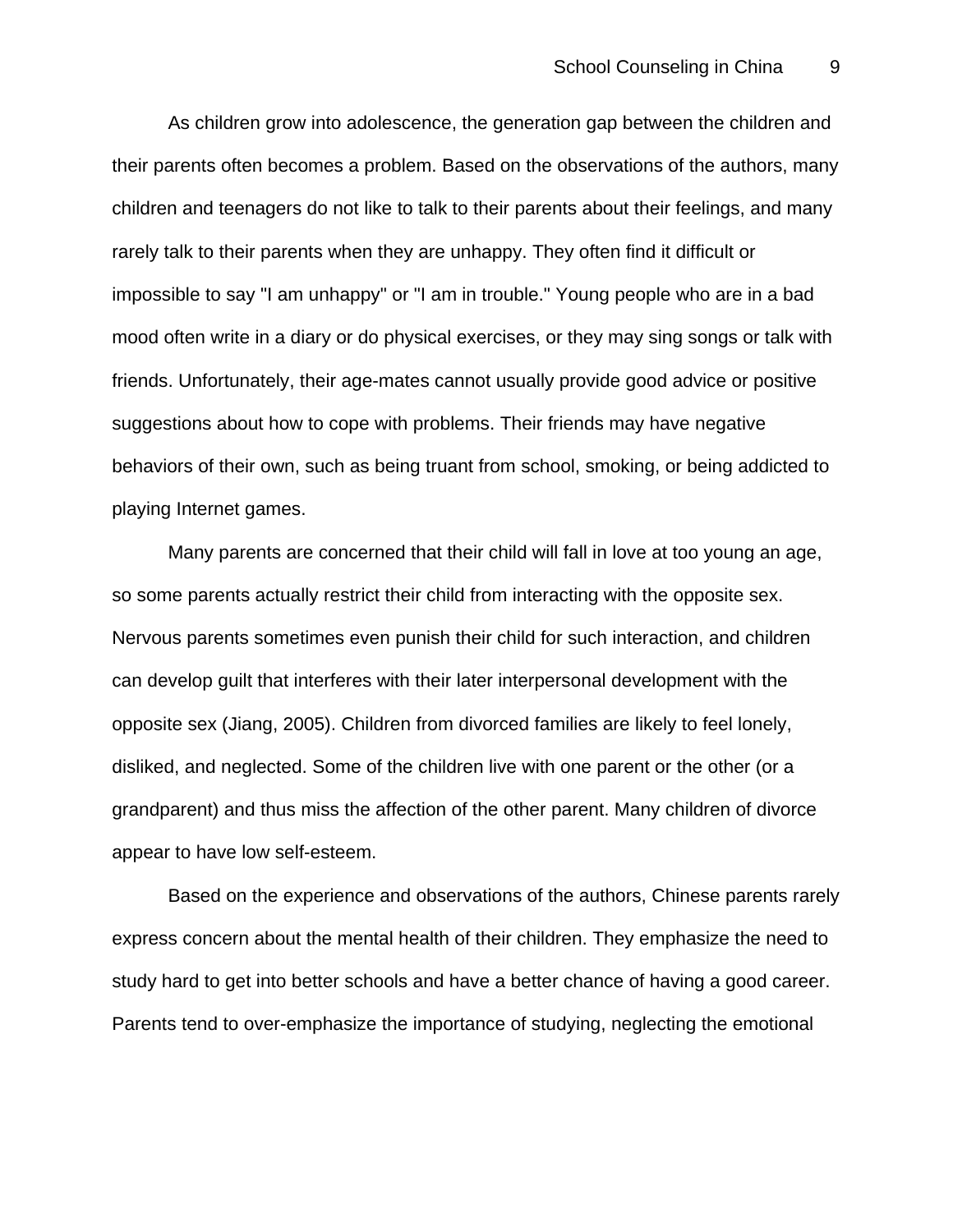As children grow into adolescence, the generation gap between the children and their parents often becomes a problem. Based on the observations of the authors, many children and teenagers do not like to talk to their parents about their feelings, and many rarely talk to their parents when they are unhappy. They often find it difficult or impossible to say "I am unhappy" or "I am in trouble." Young people who are in a bad mood often write in a diary or do physical exercises, or they may sing songs or talk with friends. Unfortunately, their age-mates cannot usually provide good advice or positive suggestions about how to cope with problems. Their friends may have negative behaviors of their own, such as being truant from school, smoking, or being addicted to playing Internet games.

Many parents are concerned that their child will fall in love at too young an age, so some parents actually restrict their child from interacting with the opposite sex. Nervous parents sometimes even punish their child for such interaction, and children can develop guilt that interferes with their later interpersonal development with the opposite sex (Jiang, 2005). Children from divorced families are likely to feel lonely, disliked, and neglected. Some of the children live with one parent or the other (or a grandparent) and thus miss the affection of the other parent. Many children of divorce appear to have low self-esteem.

Based on the experience and observations of the authors, Chinese parents rarely express concern about the mental health of their children. They emphasize the need to study hard to get into better schools and have a better chance of having a good career. Parents tend to over-emphasize the importance of studying, neglecting the emotional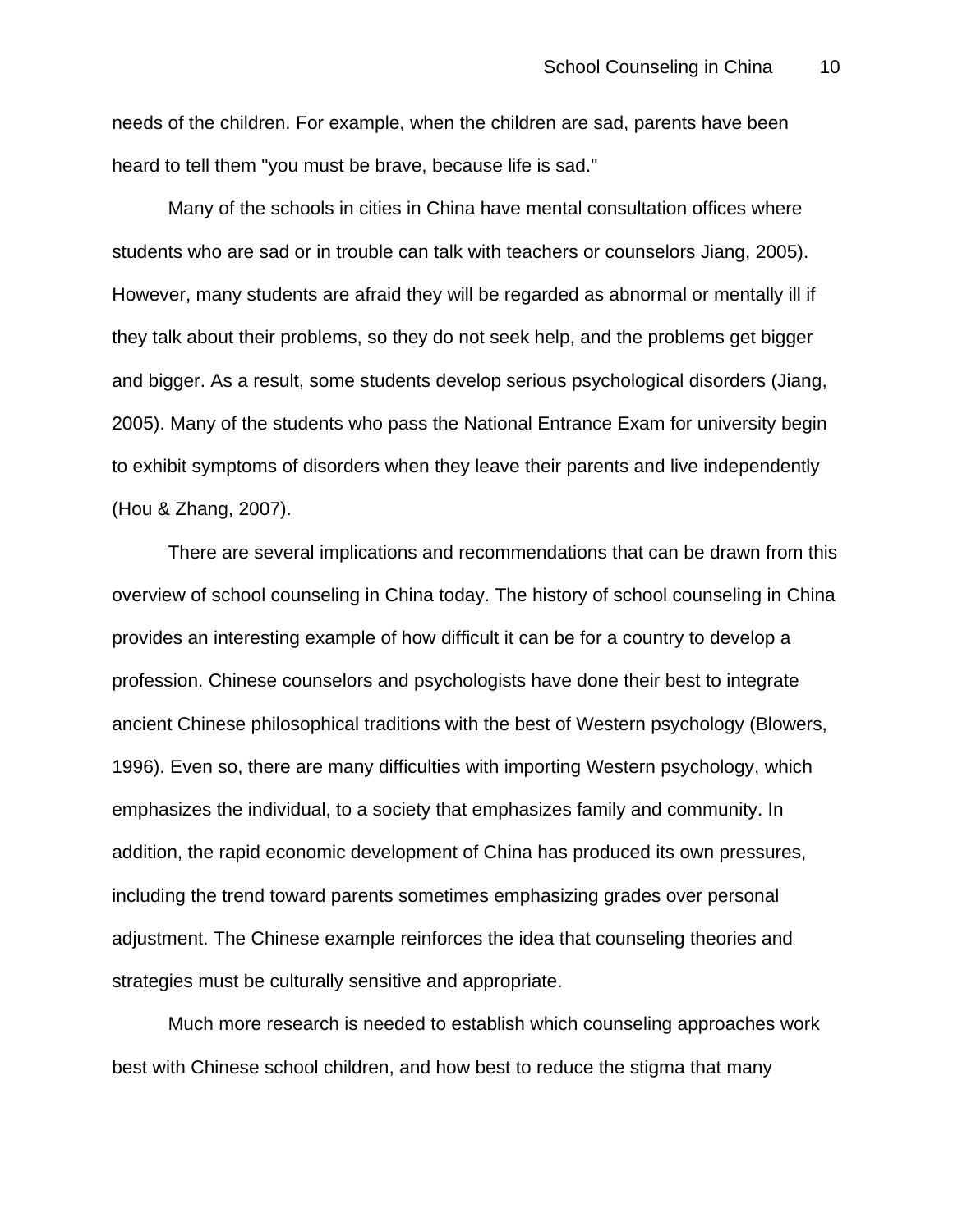needs of the children. For example, when the children are sad, parents have been heard to tell them "you must be brave, because life is sad."

Many of the schools in cities in China have mental consultation offices where students who are sad or in trouble can talk with teachers or counselors Jiang, 2005). However, many students are afraid they will be regarded as abnormal or mentally ill if they talk about their problems, so they do not seek help, and the problems get bigger and bigger. As a result, some students develop serious psychological disorders (Jiang, 2005). Many of the students who pass the National Entrance Exam for university begin to exhibit symptoms of disorders when they leave their parents and live independently (Hou & Zhang, 2007).

There are several implications and recommendations that can be drawn from this overview of school counseling in China today. The history of school counseling in China provides an interesting example of how difficult it can be for a country to develop a profession. Chinese counselors and psychologists have done their best to integrate ancient Chinese philosophical traditions with the best of Western psychology (Blowers, 1996). Even so, there are many difficulties with importing Western psychology, which emphasizes the individual, to a society that emphasizes family and community. In addition, the rapid economic development of China has produced its own pressures, including the trend toward parents sometimes emphasizing grades over personal adjustment. The Chinese example reinforces the idea that counseling theories and strategies must be culturally sensitive and appropriate.

Much more research is needed to establish which counseling approaches work best with Chinese school children, and how best to reduce the stigma that many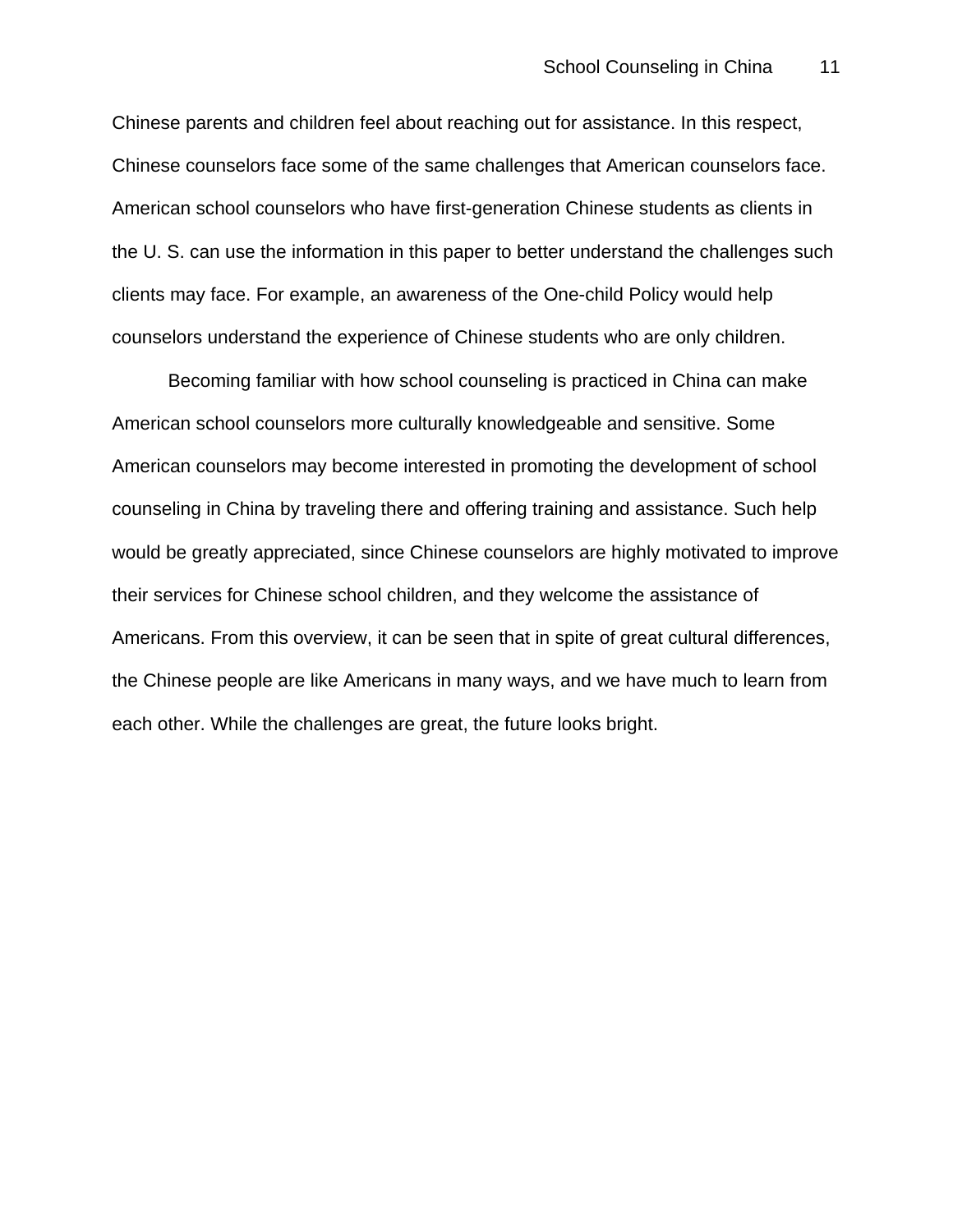Chinese parents and children feel about reaching out for assistance. In this respect, Chinese counselors face some of the same challenges that American counselors face. American school counselors who have first-generation Chinese students as clients in the U. S. can use the information in this paper to better understand the challenges such clients may face. For example, an awareness of the One-child Policy would help counselors understand the experience of Chinese students who are only children.

Becoming familiar with how school counseling is practiced in China can make American school counselors more culturally knowledgeable and sensitive. Some American counselors may become interested in promoting the development of school counseling in China by traveling there and offering training and assistance. Such help would be greatly appreciated, since Chinese counselors are highly motivated to improve their services for Chinese school children, and they welcome the assistance of Americans. From this overview, it can be seen that in spite of great cultural differences, the Chinese people are like Americans in many ways, and we have much to learn from each other. While the challenges are great, the future looks bright.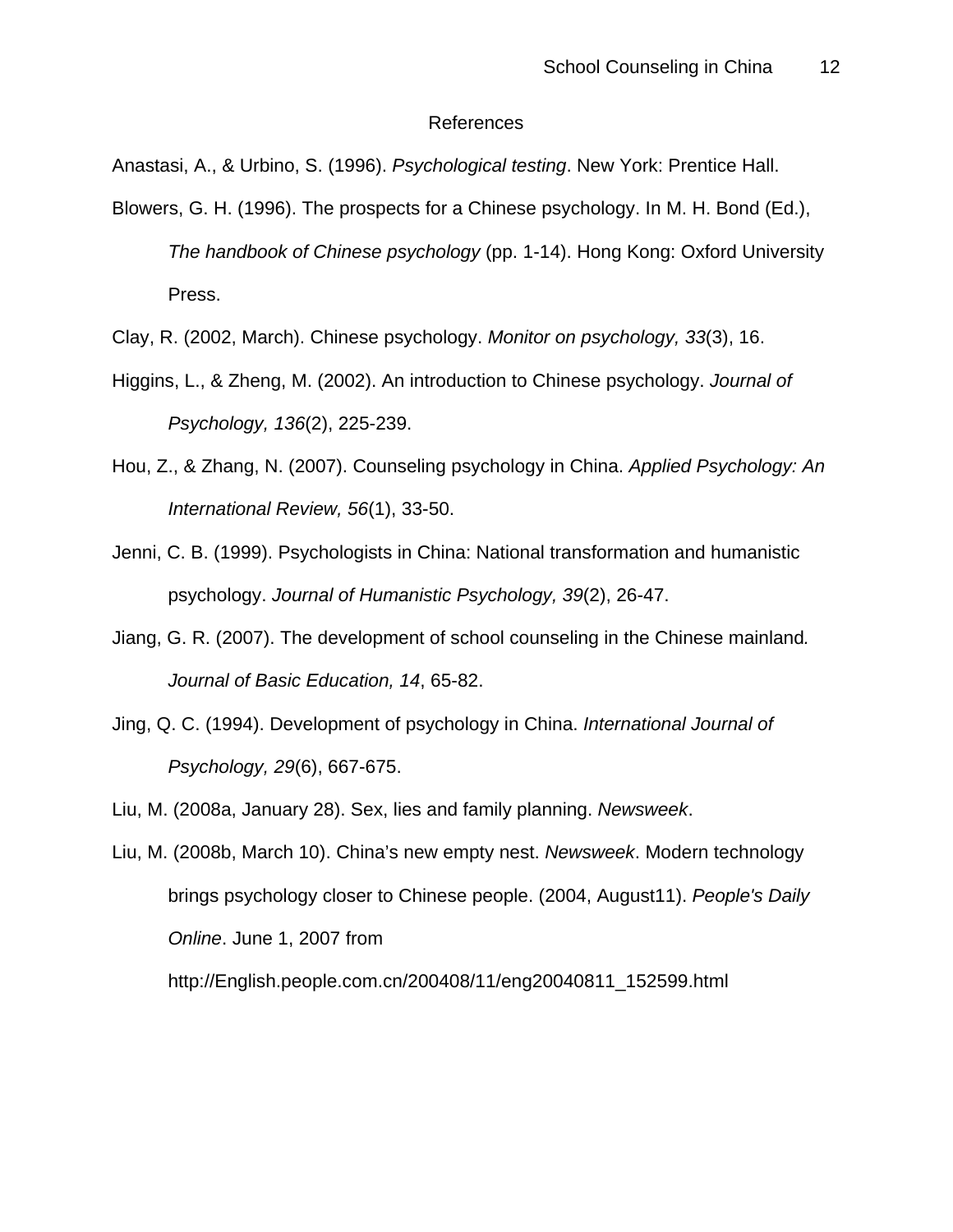## References

Anastasi, A., & Urbino, S. (1996). *Psychological testing*. New York: Prentice Hall.

- Blowers, G. H. (1996). The prospects for a Chinese psychology. In M. H. Bond (Ed.), *The handbook of Chinese psychology* (pp. 1-14). Hong Kong: Oxford University Press.
- Clay, R. (2002, March). Chinese psychology. *Monitor on psychology, 33*(3), 16.
- Higgins, L., & Zheng, M. (2002). An introduction to Chinese psychology. *Journal of Psychology, 136*(2), 225-239.
- Hou, Z., & Zhang, N. (2007). Counseling psychology in China. *Applied Psychology: An International Review, 56*(1), 33-50.
- Jenni, C. B. (1999). Psychologists in China: National transformation and humanistic psychology. *Journal of Humanistic Psychology, 39*(2), 26-47.
- Jiang, G. R. (2007). The development of school counseling in the Chinese mainland*. Journal of Basic Education, 14*, 65-82.
- Jing, Q. C. (1994). Development of psychology in China. *International Journal of Psychology, 29*(6), 667-675.
- Liu, M. (2008a, January 28). Sex, lies and family planning. *Newsweek*.
- Liu, M. (2008b, March 10). China's new empty nest. *Newsweek*. Modern technology brings psychology closer to Chinese people. (2004, August11). *People's Daily Online*. June 1, 2007 from

http://English.people.com.cn/200408/11/eng20040811\_152599.html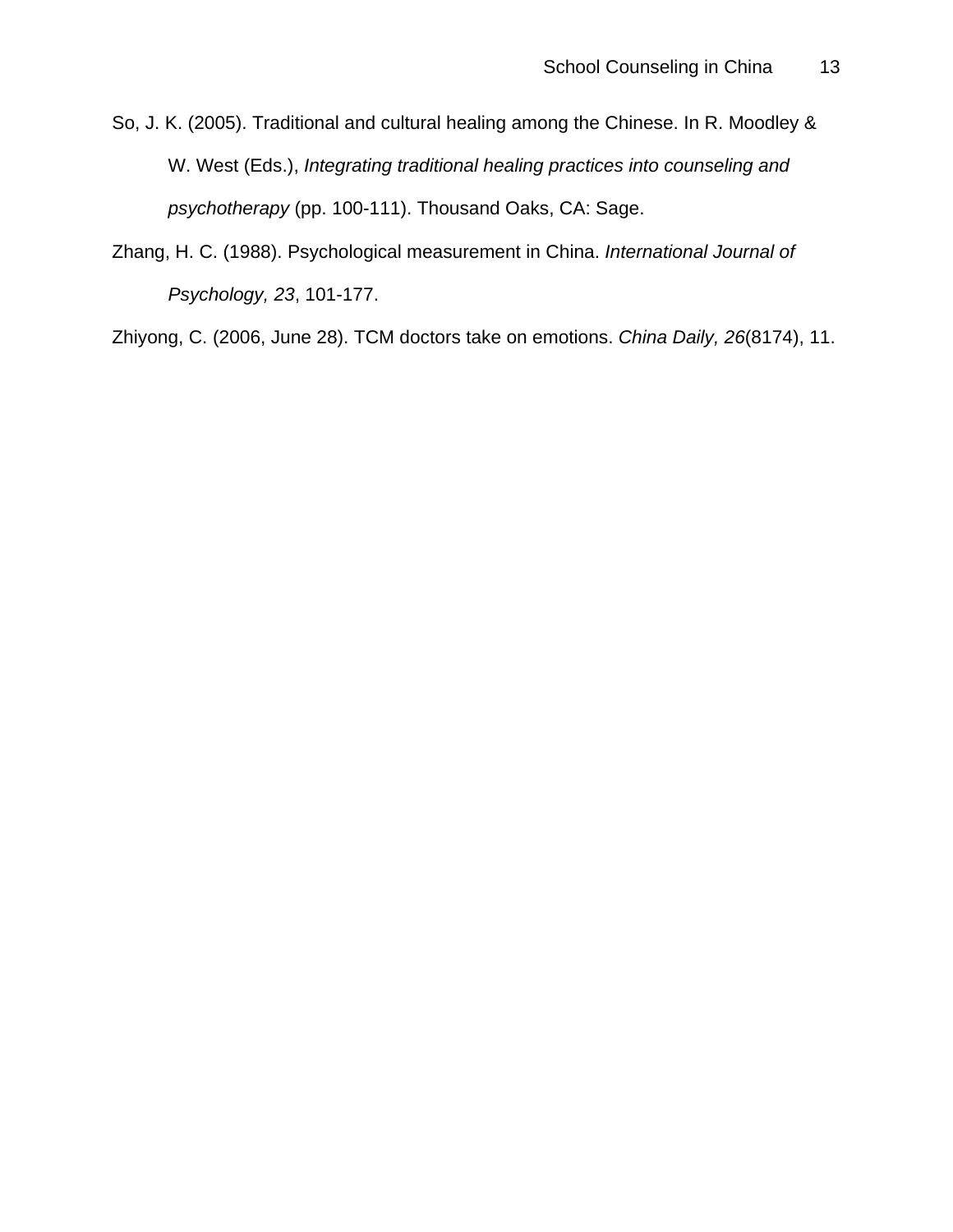- So, J. K. (2005). Traditional and cultural healing among the Chinese. In R. Moodley & W. West (Eds.), *Integrating traditional healing practices into counseling and psychotherapy* (pp. 100-111). Thousand Oaks, CA: Sage.
- Zhang, H. C. (1988). Psychological measurement in China. *International Journal of Psychology, 23*, 101-177.

Zhiyong, C. (2006, June 28). TCM doctors take on emotions. *China Daily, 26*(8174), 11.